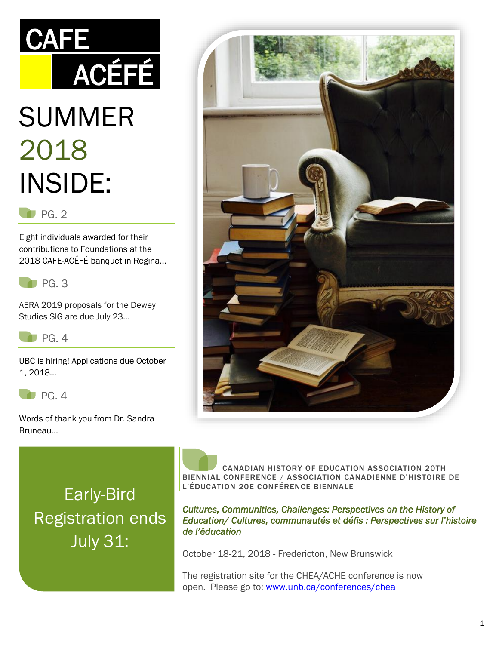# SUMMER 2018 INSIDE: ACÉFÉ

**CAFE** 

#### PG. 2

Eight individuals awarded for their contributions to Foundations at the 2018 CAFE-ACÉFÉ banquet in Regina…



AERA 2019 proposals for the Dewey Studies SIG are due July 23…

 $P$ G. 4

UBC is hiring! Applications due October 1, 2018…



Words of thank you from Dr. Sandra Bruneau…

Early-Bird Registration ends July 31:

 CANADIAN HISTORY OF EDUCATION ASSOCIATION 20TH BIENNIAL CONFERENCE / ASSOCIATION CANADIENNE D'HISTOIRE DE L'ÉDUCATION 20E CONFÉRENCE BIENNALE

*Cultures, Communities, Challenges: Perspectives on the History of Education/ Cultures, communautés et défis : Perspectives sur l'histoire de l'éducation* 

October 18-21, 2018 - Fredericton, New Brunswick

The registration site for the CHEA/ACHE conference is now open. Please go to: [www.unb.ca/conferences/chea](http://www.unb.ca/conferences/chea)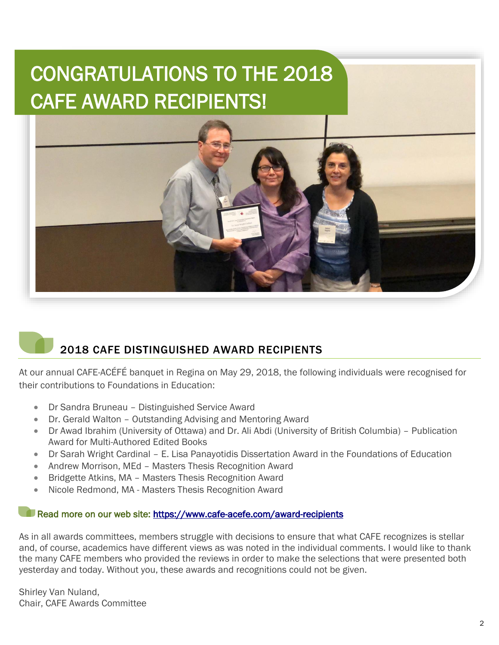## CONGRATULATIONS TO THE 2018 CAFE AWARD RECIPIENTS!



### 2018 CAFE DISTINGUISHED AWARD RECIPIENTS

At our annual CAFE-ACÉFÉ banquet in Regina on May 29, 2018, the following individuals were recognised for their contributions to Foundations in Education:

- Dr Sandra Bruneau Distinguished Service Award
- Dr. Gerald Walton Outstanding Advising and Mentoring Award
- Dr Awad Ibrahim (University of Ottawa) and Dr. Ali Abdi (University of British Columbia) Publication Award for Multi-Authored Edited Books
- Dr Sarah Wright Cardinal E. Lisa Panayotidis Dissertation Award in the Foundations of Education
- Andrew Morrison, MEd Masters Thesis Recognition Award
- Bridgette Atkins, MA Masters Thesis Recognition Award
- Nicole Redmond, MA Masters Thesis Recognition Award

#### Read more on our web site: https://www.cafe-acefe.com/award-recipients

As in all awards committees, members struggle with decisions to ensure that what CAFE recognizes is stellar and, of course, academics have different views as was noted in the individual comments. I would like to thank the many CAFE members who provided the reviews in order to make the selections that were presented both yesterday and today. Without you, these awards and recognitions could not be given.

Shirley Van Nuland, Chair, CAFE Awards Committee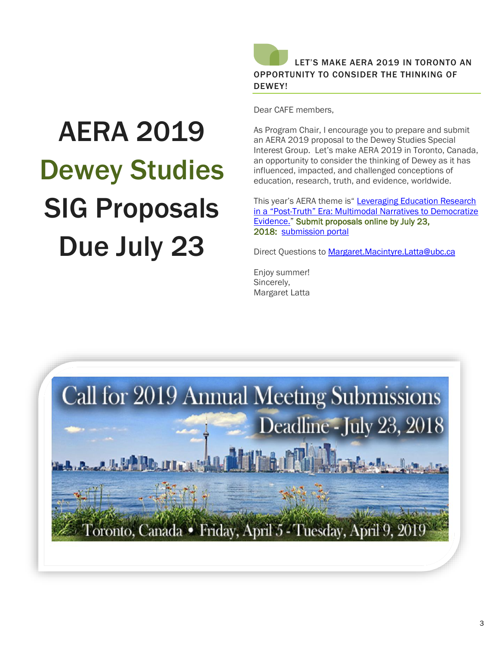

Dear CAFE members,

AERA 2019 Dewey Studies SIG Proposals Due July 23

As Program Chair, I encourage you to prepare and submit an AERA 2019 proposal to the Dewey Studies Special Interest Group. Let's make AERA 2019 in Toronto, Canada, an opportunity to consider the thinking of Dewey as it has influenced, impacted, and challenged conceptions of education, research, truth, and evidence, worldwide.

This year's AERA theme is" Leveraging Education Research in a "Post-[Truth" Era: Multimodal Narratives to Democratize](http://www.aeramail.org/l.jsp?d=3397.485413.78.1SbV81Upo)  [Evidence.](http://www.aeramail.org/l.jsp?d=3397.485413.78.1SbV81Upo)" Submit proposals online by July 23, 2018: [submission portal](http://www.aeramail.org/l.jsp?d=3397.485417.78.1SbV81Upo)

Direct Questions to [Margaret.Macintyre.Latta@ubc.ca](mailto:Margaret.macintyre.Latta@ubc.ca)

Enjoy summer! Sincerely, Margaret Latta

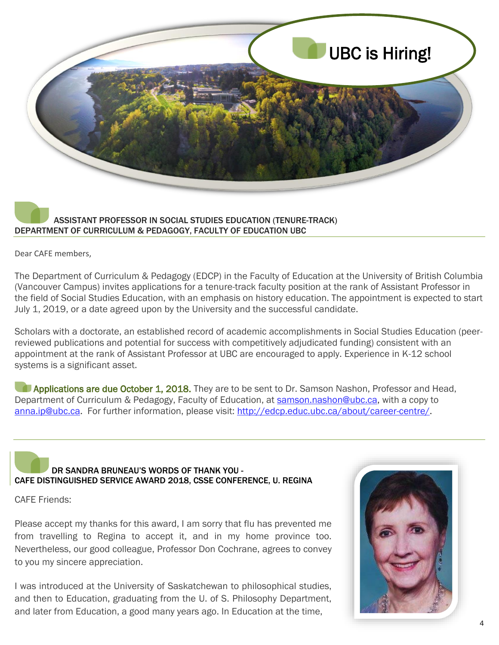

#### ASSISTANT PROFESSOR IN SOCIAL STUDIES EDUCATION (TENURE-TRACK) DEPARTMENT OF CURRICULUM & PEDAGOGY, FACULTY OF EDUCATION UBC

Dear CAFE members,

The Department of Curriculum & Pedagogy (EDCP) in the Faculty of Education at the University of British Columbia (Vancouver Campus) invites applications for a tenure-track faculty position at the rank of Assistant Professor in the field of Social Studies Education, with an emphasis on history education. The appointment is expected to start July 1, 2019, or a date agreed upon by the University and the successful candidate.

Scholars with a doctorate, an established record of academic accomplishments in Social Studies Education (peerreviewed publications and potential for success with competitively adjudicated funding) consistent with an appointment at the rank of Assistant Professor at UBC are encouraged to apply. Experience in K-12 school systems is a significant asset.

**Applications are due October 1, 2018.** They are to be sent to Dr. Samson Nashon, Professor and Head, Department of Curriculum & Pedagogy, Faculty of Education, at [samson.nashon@ubc.ca](mailto:samson.nashon@ubc.ca), with a copy to [anna.ip@ubc.ca.](mailto:anna.ip@ubc.ca) For further information, please visit: [http://edcp.educ.ubc.ca/about/career-centre/.](http://edcp.educ.ubc.ca/about/career-centre/)

#### DR SANDRA BRUNEAU'S WORDS OF THANK YOU - CAFE DISTINGUISHED SERVICE AWARD 2018, CSSE CONFERENCE, U. REGINA

CAFE Friends:

Please accept my thanks for this award, I am sorry that flu has prevented me from travelling to Regina to accept it, and in my home province too. Nevertheless, our good colleague, Professor Don Cochrane, agrees to convey to you my sincere appreciation.

I was introduced at the University of Saskatchewan to philosophical studies, and then to Education, graduating from the U. of S. Philosophy Department, and later from Education, a good many years ago. In Education at the time,

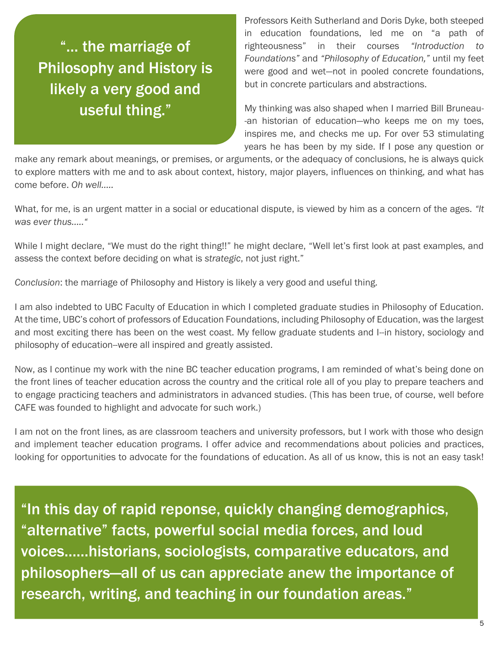"… the marriage of Philosophy and History is likely a very good and useful thing."

Professors Keith Sutherland and Doris Dyke, both steeped in education foundations, led me on "a path of righteousness" in their courses *"Introduction to Foundations"* and *"Philosophy of Education,"* until my feet were good and wet—not in pooled concrete foundations, but in concrete particulars and abstractions.

My thinking was also shaped when I married Bill Bruneau- -an historian of education—who keeps me on my toes, inspires me, and checks me up. For over 53 stimulating years he has been by my side. If I pose any question or

make any remark about meanings, or premises, or arguments, or the adequacy of conclusions, he is always quick to explore matters with me and to ask about context, history, major players, influences on thinking, and what has come before. *Oh well…..*

What, for me, is an urgent matter in a social or educational dispute, is viewed by him as a concern of the ages. *"It was ever thus….."*

While I might declare, "We must do the right thing!!" he might declare, "Well let's first look at past examples, and assess the context before deciding on what is *strategic*, not just right."

*Conclusion*: the marriage of Philosophy and History is likely a very good and useful thing.

I am also indebted to UBC Faculty of Education in which I completed graduate studies in Philosophy of Education. At the time, UBC's cohort of professors of Education Foundations, including Philosophy of Education, was the largest and most exciting there has been on the west coast. My fellow graduate students and I--in history, sociology and philosophy of education--were all inspired and greatly assisted.

Now, as I continue my work with the nine BC teacher education programs, I am reminded of what's being done on the front lines of teacher education across the country and the critical role all of you play to prepare teachers and to engage practicing teachers and administrators in advanced studies. (This has been true, of course, well before CAFE was founded to highlight and advocate for such work.)

I am not on the front lines, as are classroom teachers and university professors, but I work with those who design and implement teacher education programs. I offer advice and recommendations about policies and practices, looking for opportunities to advocate for the foundations of education. As all of us know, this is not an easy task!

"In this day of rapid reponse, quickly changing demographics, "alternative" facts, powerful social media forces, and loud voices……historians, sociologists, comparative educators, and philosophers—all of us can appreciate anew the importance of research, writing, and teaching in our foundation areas."